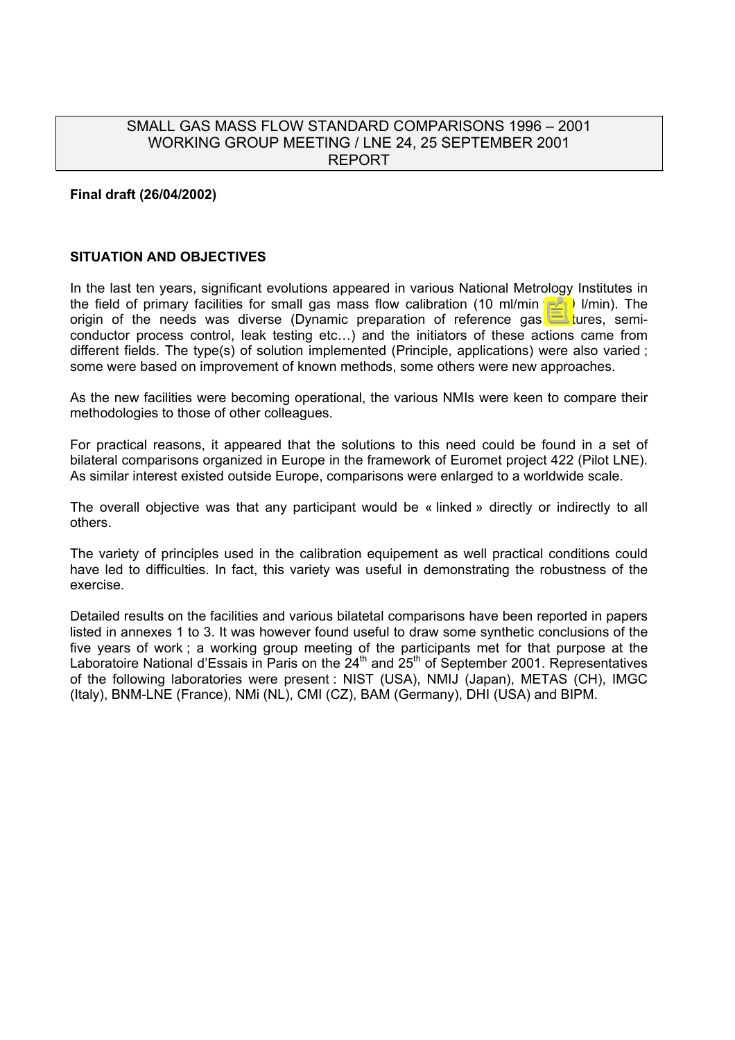# SMALL GAS MASS FLOW STANDARD COMPARISONS 1996 – 2001 WORKING GROUP MEETING / LNE 24, 25 SEPTEMBER 2001 REPORT

#### **Final draft (26/04/2002)**

#### **SITUATION AND OBJECTIVES**

In the last ten years, significant evolutions appeared in various National Metrology Institutes in the field of primary facilities for small gas mass flow calibration (10 ml/min to 10 l/min). The origin of the needs was diverse (Dynamic preparation of reference gas mixtures, semiconductor process control, leak testing etc…) and the initiators of these actions came from different fields. The type(s) of solution implemented (Principle, applications) were also varied ; some were based on improvement of known methods, some others were new approaches.

As the new facilities were becoming operational, the various NMIs were keen to compare their methodologies to those of other colleagues.

For practical reasons, it appeared that the solutions to this need could be found in a set of bilateral comparisons organized in Europe in the framework of Euromet project 422 (Pilot LNE). As similar interest existed outside Europe, comparisons were enlarged to a worldwide scale.

The overall objective was that any participant would be « linked » directly or indirectly to all others.

The variety of principles used in the calibration equipement as well practical conditions could have led to difficulties. In fact, this variety was useful in demonstrating the robustness of the exercise.

Detailed results on the facilities and various bilatetal comparisons have been reported in papers listed in annexes 1 to 3. It was however found useful to draw some synthetic conclusions of the five years of work ; a working group meeting of the participants met for that purpose at the Laboratoire National d'Essais in Paris on the  $24<sup>th</sup>$  and  $25<sup>th</sup>$  of September 2001. Representatives of the following laboratories were present : NIST (USA), NMIJ (Japan), METAS (CH), IMGC (Italy), BNM-LNE (France), NMi (NL), CMI (CZ), BAM (Germany), DHI (USA) and BIPM.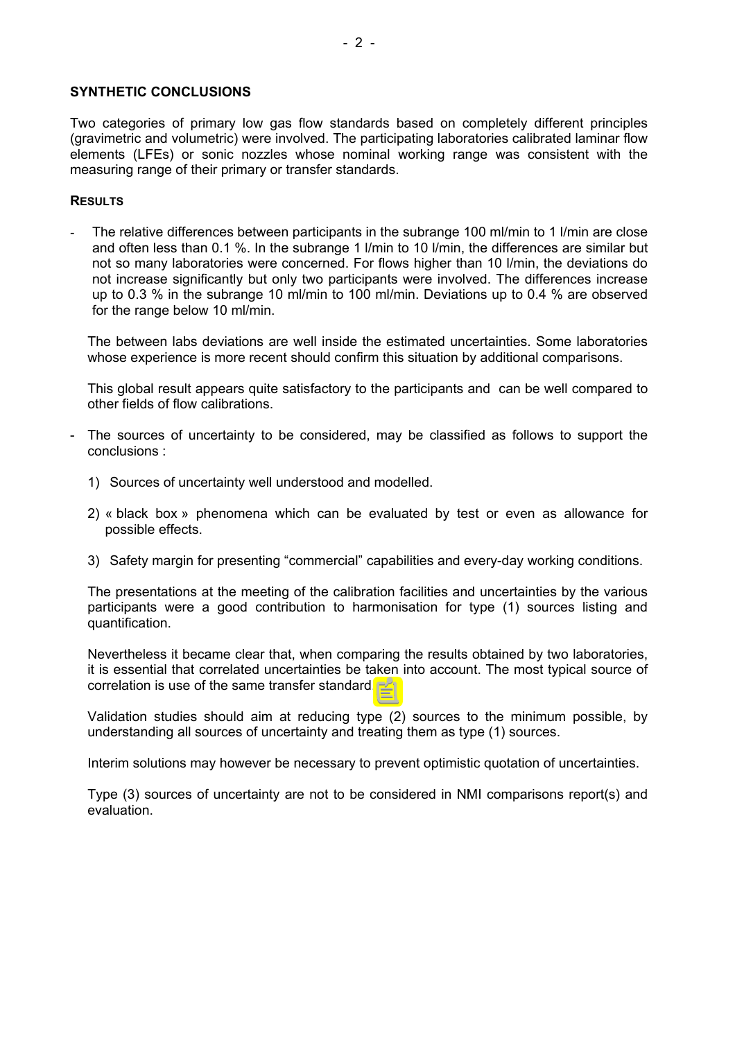#### **SYNTHETIC CONCLUSIONS**

Two categories of primary low gas flow standards based on completely different principles (gravimetric and volumetric) were involved. The participating laboratories calibrated laminar flow elements (LFEs) or sonic nozzles whose nominal working range was consistent with the measuring range of their primary or transfer standards.

#### **RESULTS**

The relative differences between participants in the subrange 100 ml/min to 1 l/min are close and often less than 0.1 %. In the subrange 1 l/min to 10 l/min, the differences are similar but not so many laboratories were concerned. For flows higher than 10 l/min, the deviations do not increase significantly but only two participants were involved. The differences increase up to 0.3 % in the subrange 10 ml/min to 100 ml/min. Deviations up to 0.4 % are observed for the range below 10 ml/min.

The between labs deviations are well inside the estimated uncertainties. Some laboratories whose experience is more recent should confirm this situation by additional comparisons.

This global result appears quite satisfactory to the participants and can be well compared to other fields of flow calibrations.

- The sources of uncertainty to be considered, may be classified as follows to support the conclusions :
	- 1) Sources of uncertainty well understood and modelled.
	- 2) « black box » phenomena which can be evaluated by test or even as allowance for possible effects.
	- 3) Safety margin for presenting "commercial" capabilities and every-day working conditions.

The presentations at the meeting of the calibration facilities and uncertainties by the various participants were a good contribution to harmonisation for type (1) sources listing and quantification.

Nevertheless it became clear that, when comparing the results obtained by two laboratories, it is essential that correlated uncertainties be taken into account. The most typical source of correlation is use of the same transfer standard.

Validation studies should aim at reducing type (2) sources to the minimum possible, by understanding all sources of uncertainty and treating them as type (1) sources.

Interim solutions may however be necessary to prevent optimistic quotation of uncertainties.

Type (3) sources of uncertainty are not to be considered in NMI comparisons report(s) and evaluation.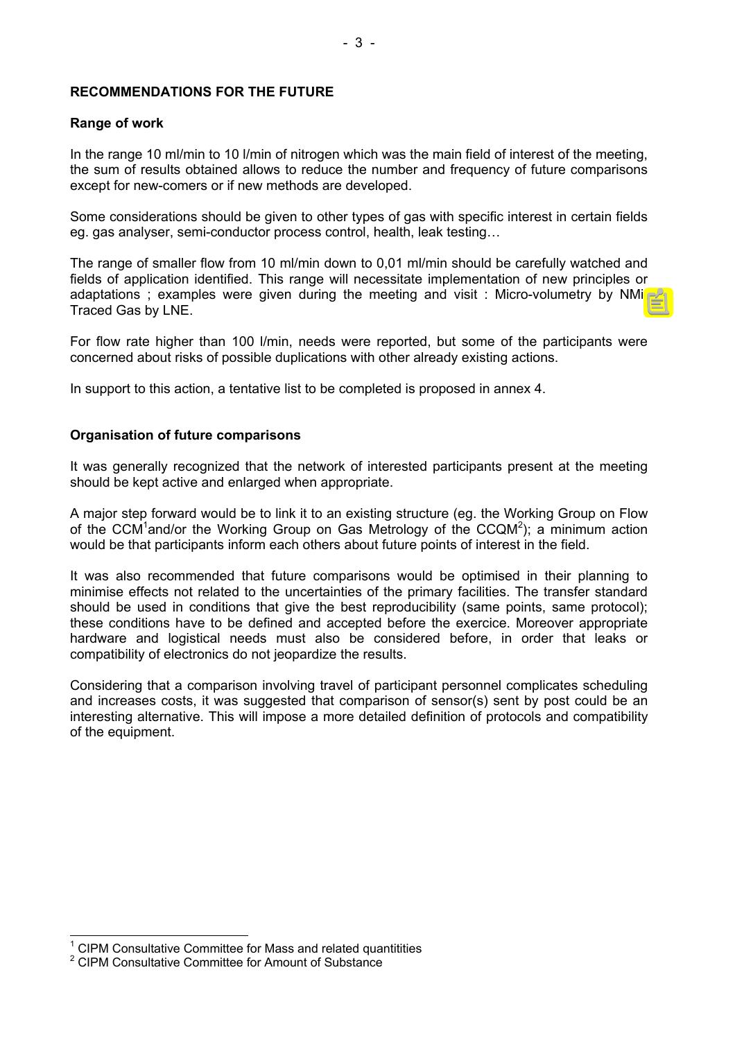#### **RECOMMENDATIONS FOR THE FUTURE**

#### **Range of work**

In the range 10 ml/min to 10 l/min of nitrogen which was the main field of interest of the meeting, the sum of results obtained allows to reduce the number and frequency of future comparisons except for new-comers or if new methods are developed.

Some considerations should be given to other types of gas with specific interest in certain fields eg. gas analyser, semi-conductor process control, health, leak testing…

The range of smaller flow from 10 ml/min down to 0,01 ml/min should be carefully watched and fields of application identified. This range will necessitate implementation of new principles or adaptations ; examples were given during the meeting and visit : Micro-volumetry by NMi, Traced Gas by LNE.

For flow rate higher than 100 l/min, needs were reported, but some of the participants were concerned about risks of possible duplications with other already existing actions.

In support to this action, a tentative list to be completed is proposed in annex 4.

#### **Organisation of future comparisons**

It was generally recognized that the network of interested participants present at the meeting should be kept active and enlarged when appropriate.

A major step forward would be to link it to an existing structure (eg. the Working Group on Flow of the CCM<sup>[1](#page-2-0)</sup>and/or the Working Group on Gas Metrology of the CCQM<sup>2</sup>[\)](#page-2-1); a minimum action would be that participants inform each others about future points of interest in the field.

It was also recommended that future comparisons would be optimised in their planning to minimise effects not related to the uncertainties of the primary facilities. The transfer standard should be used in conditions that give the best reproducibility (same points, same protocol); these conditions have to be defined and accepted before the exercice. Moreover appropriate hardware and logistical needs must also be considered before, in order that leaks or compatibility of electronics do not jeopardize the results.

Considering that a comparison involving travel of participant personnel complicates scheduling and increases costs, it was suggested that comparison of sensor(s) sent by post could be an interesting alternative. This will impose a more detailed definition of protocols and compatibility of the equipment.

<span id="page-2-0"></span><sup>1</sup> CIPM Consultative Committee for Mass and related quantitities

<span id="page-2-1"></span><sup>&</sup>lt;sup>2</sup> CIPM Consultative Committee for Amount of Substance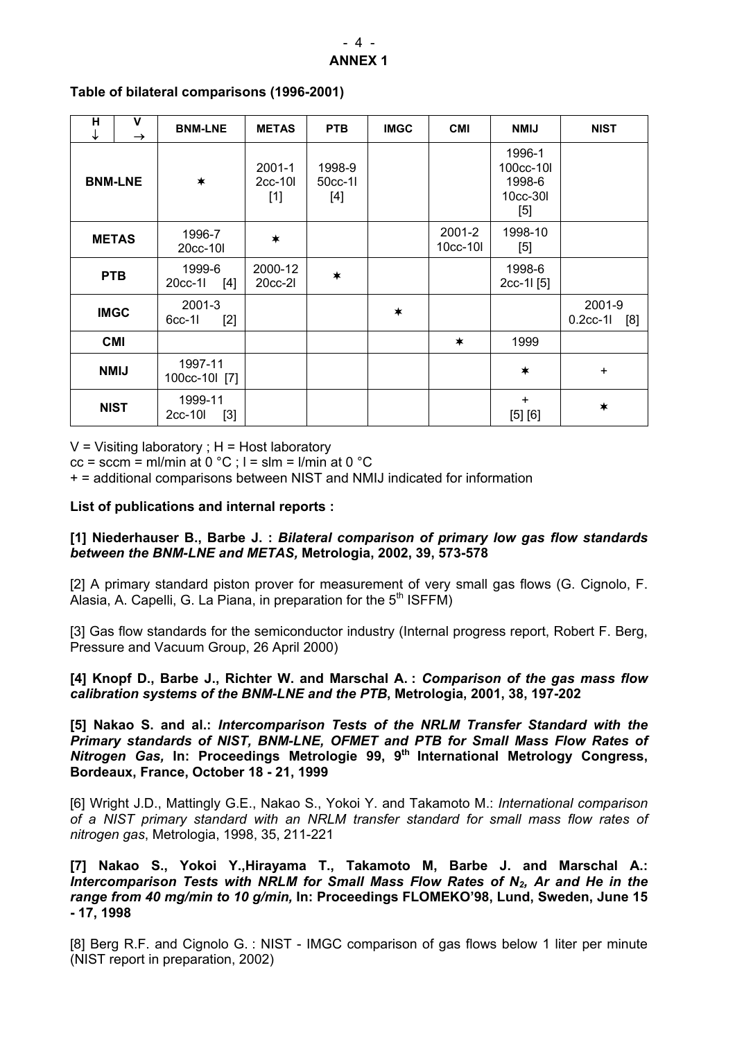| н<br>↓         | v<br>$\rightarrow$ | <b>BNM-LNE</b>              | <b>METAS</b>                     | <b>PTB</b>               | <b>IMGC</b> | <b>CMI</b>         | <b>NMIJ</b>                                                                                                                                                                                                        | <b>NIST</b>                 |
|----------------|--------------------|-----------------------------|----------------------------------|--------------------------|-------------|--------------------|--------------------------------------------------------------------------------------------------------------------------------------------------------------------------------------------------------------------|-----------------------------|
| <b>BNM-LNE</b> |                    | $\ast$                      | $2001 - 1$<br>$2cc-10l$<br>$[1]$ | 1998-9<br>50cc-11<br>[4] |             |                    | 1996-1<br>100cc-10l<br>1998-6<br>10cc-30l<br>$[5] % \includegraphics[width=0.9\columnwidth]{figures/fig_10.pdf} \caption{Schematic diagram of the top of the top of the top of the right.} \label{fig:fig_10.pdf}$ |                             |
| <b>METAS</b>   |                    | 1996-7<br>20cc-10l          | $\ast$                           |                          |             | 2001-2<br>10cc-10l | 1998-10<br>$[5]$                                                                                                                                                                                                   |                             |
| <b>PTB</b>     |                    | 1999-6<br>[4]<br>20cc-1l    | 2000-12<br>20cc-21               | $\ast$                   |             |                    | 1998-6<br>2cc-1l [5]                                                                                                                                                                                               |                             |
| <b>IMGC</b>    |                    | 2001-3<br>$[2]$<br>$6cc-11$ |                                  |                          | $\ast$      |                    |                                                                                                                                                                                                                    | 2001-9<br>$0.2cc-11$<br>[8] |
| <b>CMI</b>     |                    |                             |                                  |                          |             | $\ast$             | 1999                                                                                                                                                                                                               |                             |
| <b>NMIJ</b>    |                    | 1997-11<br>100cc-10l [7]    |                                  |                          |             |                    | $\ast$                                                                                                                                                                                                             | $\ddot{}$                   |
| <b>NIST</b>    |                    | 1999-11<br>$[3]$<br>2cc-10l |                                  |                          |             |                    | $+$<br>[5] [6]                                                                                                                                                                                                     | $\ast$                      |

#### **Table of bilateral comparisons (1996-2001)**

 $V =$  Visiting laboratory ;  $H =$  Host laboratory

 $cc =$  sccm = ml/min at 0 °C ;  $l =$  slm = l/min at 0 °C

+ = additional comparisons between NIST and NMIJ indicated for information

## **List of publications and internal reports :**

## **[1] Niederhauser B., Barbe J. :** *Bilateral comparison of primary low gas flow standards between the BNM-LNE and METAS,* **Metrologia, 2002, 39, 573-578**

[2] A primary standard piston prover for measurement of very small gas flows (G. Cignolo, F. Alasia, A. Capelli, G. La Piana, in preparation for the  $5<sup>th</sup> ISFFM$ )

[3] Gas flow standards for the semiconductor industry (Internal progress report, Robert F. Berg, Pressure and Vacuum Group, 26 April 2000)

**[4] Knopf D., Barbe J., Richter W. and Marschal A. :** *Comparison of the gas mass flow calibration systems of the BNM-LNE and the PTB***, Metrologia, 2001, 38, 197-202** 

**[5] Nakao S. and al.:** *Intercomparison Tests of the NRLM Transfer Standard with the Primary standards of NIST, BNM-LNE, OFMET and PTB for Small Mass Flow Rates of Nitrogen Gas,* **In: Proceedings Metrologie 99, 9th International Metrology Congress, Bordeaux, France, October 18 - 21, 1999** 

[6] Wright J.D., Mattingly G.E., Nakao S., Yokoi Y. and Takamoto M.: *International comparison of a NIST primary standard with an NRLM transfer standard for small mass flow rates of nitrogen gas*, Metrologia, 1998, 35, 211-221

**[7] Nakao S., Yokoi Y.,Hirayama T., Takamoto M, Barbe J. and Marschal A.:** *Intercomparison Tests with NRLM for Small Mass Flow Rates of N2, Ar and He in the range from 40 mg/min to 10 g/min,* **In: Proceedings FLOMEKO'98, Lund, Sweden, June 15 - 17, 1998** 

[8] Berg R.F. and Cignolo G. : NIST - IMGC comparison of gas flows below 1 liter per minute (NIST report in preparation, 2002)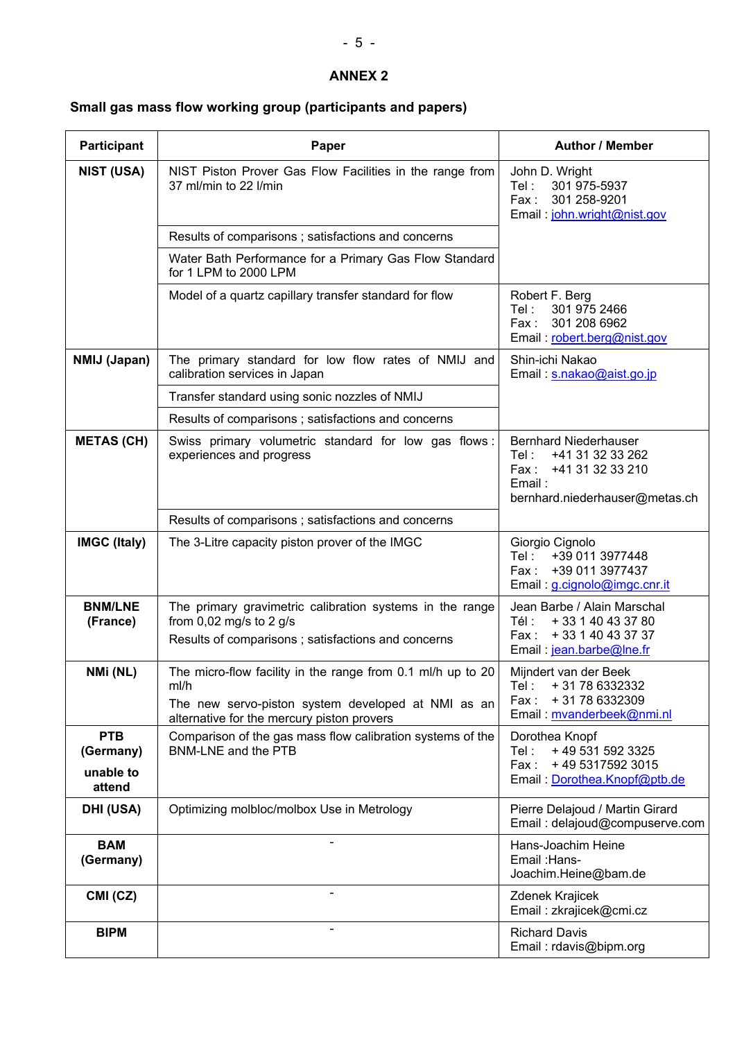# **ANNEX 2**

# **Small gas mass flow working group (participants and papers)**

| <b>Participant</b>         | Paper                                                                                                                                                                   | <b>Author / Member</b>                                                                                                            |  |  |
|----------------------------|-------------------------------------------------------------------------------------------------------------------------------------------------------------------------|-----------------------------------------------------------------------------------------------------------------------------------|--|--|
| <b>NIST (USA)</b>          | NIST Piston Prover Gas Flow Facilities in the range from<br>37 ml/min to 22 l/min                                                                                       | John D. Wright<br>Tel:<br>301 975-5937<br>Fax:<br>301 258-9201<br>Email: john.wright@nist.gov                                     |  |  |
|                            | Results of comparisons; satisfactions and concerns                                                                                                                      |                                                                                                                                   |  |  |
|                            | Water Bath Performance for a Primary Gas Flow Standard<br>for 1 LPM to 2000 LPM                                                                                         |                                                                                                                                   |  |  |
|                            | Model of a quartz capillary transfer standard for flow                                                                                                                  | Robert F. Berg<br>Tel:<br>301 975 2466<br>301 208 6962<br>Fax:<br>Email: robert.berg@nist.gov                                     |  |  |
| NMIJ (Japan)               | The primary standard for low flow rates of NMIJ and<br>calibration services in Japan                                                                                    | Shin-ichi Nakao<br>Email: s.nakao@aist.go.jp                                                                                      |  |  |
|                            | Transfer standard using sonic nozzles of NMIJ                                                                                                                           |                                                                                                                                   |  |  |
|                            | Results of comparisons; satisfactions and concerns                                                                                                                      |                                                                                                                                   |  |  |
| <b>METAS (CH)</b>          | Swiss primary volumetric standard for low gas flows:<br>experiences and progress                                                                                        | <b>Bernhard Niederhauser</b><br>Tel:<br>+41 31 32 33 262<br>+41 31 32 33 210<br>Fax :<br>Email:<br>bernhard.niederhauser@metas.ch |  |  |
|                            | Results of comparisons ; satisfactions and concerns                                                                                                                     |                                                                                                                                   |  |  |
| <b>IMGC (Italy)</b>        | The 3-Litre capacity piston prover of the IMGC                                                                                                                          | Giorgio Cignolo<br>+39 011 3977448<br>Tel:<br>+39 011 3977437<br>Fax :<br>Email: g.cignolo@imgc.cnr.it                            |  |  |
| <b>BNM/LNE</b><br>(France) | The primary gravimetric calibration systems in the range<br>from 0,02 mg/s to 2 g/s<br>Results of comparisons; satisfactions and concerns                               | Jean Barbe / Alain Marschal<br>Tél :<br>+ 33 1 40 43 37 80<br>+ 33 1 40 43 37 37<br>Fax :<br>Email: jean.barbe@lne.fr             |  |  |
| NMi (NL)                   | The micro-flow facility in the range from 0.1 ml/h up to 20<br>mi/h<br>The new servo-piston system developed at NMI as an<br>alternative for the mercury piston provers | Mijndert van der Beek<br>+ 31 78 6332332<br>Tel:<br>+31786332309<br>Fax :<br>Email: mvanderbeek@nmi.nl                            |  |  |
| <b>PTB</b><br>(Germany)    | Comparison of the gas mass flow calibration systems of the<br><b>BNM-LNE and the PTB</b>                                                                                | Dorothea Knopf<br>Tel:<br>+ 49 531 592 3325<br>+49 5317592 3015<br>Fax:                                                           |  |  |
| unable to<br>attend        |                                                                                                                                                                         | Email: Dorothea.Knopf@ptb.de                                                                                                      |  |  |
| DHI (USA)                  | Optimizing molbloc/molbox Use in Metrology                                                                                                                              | Pierre Delajoud / Martin Girard<br>Email: delajoud@compuserve.com                                                                 |  |  |
| <b>BAM</b><br>(Germany)    |                                                                                                                                                                         | Hans-Joachim Heine<br>Email : Hans-<br>Joachim.Heine@bam.de                                                                       |  |  |
| CMI (CZ)                   |                                                                                                                                                                         | Zdenek Krajicek<br>Email: zkrajicek@cmi.cz                                                                                        |  |  |
| <b>BIPM</b>                |                                                                                                                                                                         | <b>Richard Davis</b><br>Email: rdavis@bipm.org                                                                                    |  |  |